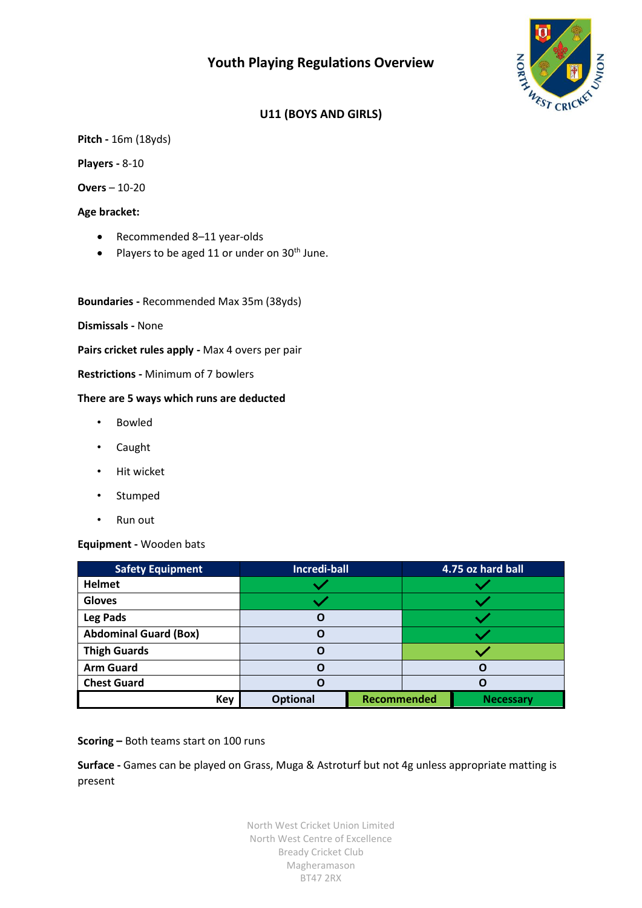# **Youth Playing Regulations Overview**



## **U11 (BOYS AND GIRLS)**

**Pitch -** 16m (18yds)

**Players -** 8-10

**Overs** – 10-20

**Age bracket:**

- Recommended 8–11 year-olds
- Players to be aged 11 or under on  $30<sup>th</sup>$  June.

**Boundaries -** Recommended Max 35m (38yds)

**Dismissals -** None

**Pairs cricket rules apply -** Max 4 overs per pair

**Restrictions -** Minimum of 7 bowlers

#### **There are 5 ways which runs are deducted**

- Bowled
- Caught
- Hit wicket
- Stumped
- Run out

#### **Equipment -** Wooden bats

| <b>Safety Equipment</b>      | Incredi-ball    |  | 4.75 oz hard ball                      |  |  |
|------------------------------|-----------------|--|----------------------------------------|--|--|
| <b>Helmet</b>                |                 |  |                                        |  |  |
| <b>Gloves</b>                |                 |  |                                        |  |  |
| <b>Leg Pads</b>              |                 |  |                                        |  |  |
| <b>Abdominal Guard (Box)</b> | O               |  |                                        |  |  |
| <b>Thigh Guards</b>          |                 |  |                                        |  |  |
| <b>Arm Guard</b>             |                 |  |                                        |  |  |
| <b>Chest Guard</b>           |                 |  |                                        |  |  |
| <b>Key</b>                   | <b>Optional</b> |  | <b>Recommended</b><br><b>Necessary</b> |  |  |

#### **Scoring –** Both teams start on 100 runs

**Surface -** Games can be played on Grass, Muga & Astroturf but not 4g unless appropriate matting is present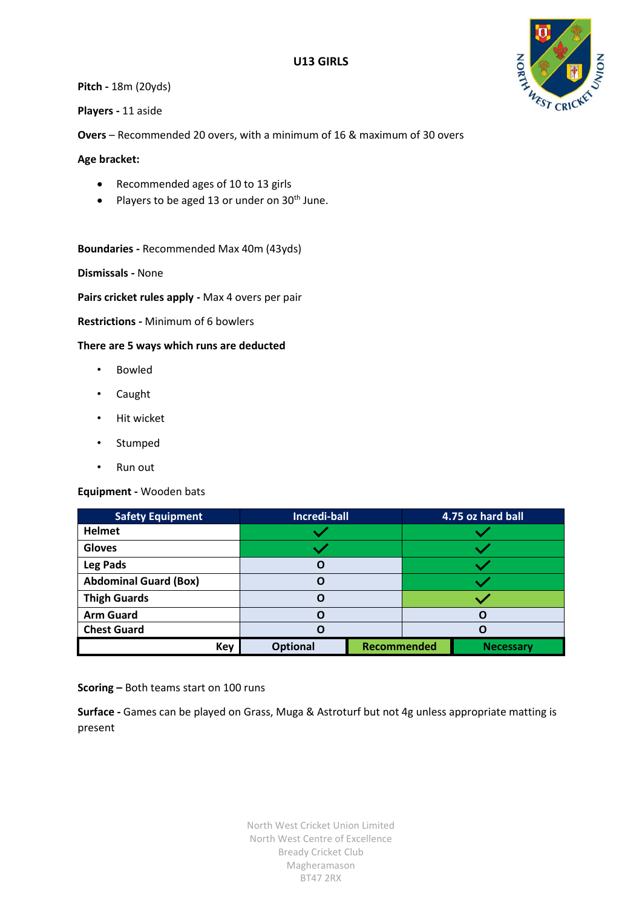

**Pitch -** 18m (20yds)

**Players -** 11 aside

**Overs** – Recommended 20 overs, with a minimum of 16 & maximum of 30 overs

**Age bracket:**

- Recommended ages of 10 to 13 girls
- Players to be aged 13 or under on  $30<sup>th</sup>$  June.

**Boundaries -** Recommended Max 40m (43yds)

**Dismissals -** None

**Pairs cricket rules apply -** Max 4 overs per pair

**Restrictions -** Minimum of 6 bowlers

**There are 5 ways which runs are deducted**

- Bowled
- Caught
- Hit wicket
- Stumped
- Run out

**Equipment -** Wooden bats

| <b>Safety Equipment</b>      | <b>Incredi-ball</b> |             | 4.75 oz hard ball |                  |  |
|------------------------------|---------------------|-------------|-------------------|------------------|--|
| <b>Helmet</b>                |                     |             |                   |                  |  |
| <b>Gloves</b>                |                     |             |                   |                  |  |
| <b>Leg Pads</b>              |                     |             |                   |                  |  |
| <b>Abdominal Guard (Box)</b> | n                   |             |                   |                  |  |
| <b>Thigh Guards</b>          |                     |             |                   |                  |  |
| <b>Arm Guard</b>             |                     |             |                   |                  |  |
| <b>Chest Guard</b>           |                     |             |                   |                  |  |
| Key                          | <b>Optional</b>     | Recommended |                   | <b>Necessary</b> |  |

**Scoring –** Both teams start on 100 runs

**Surface -** Games can be played on Grass, Muga & Astroturf but not 4g unless appropriate matting is present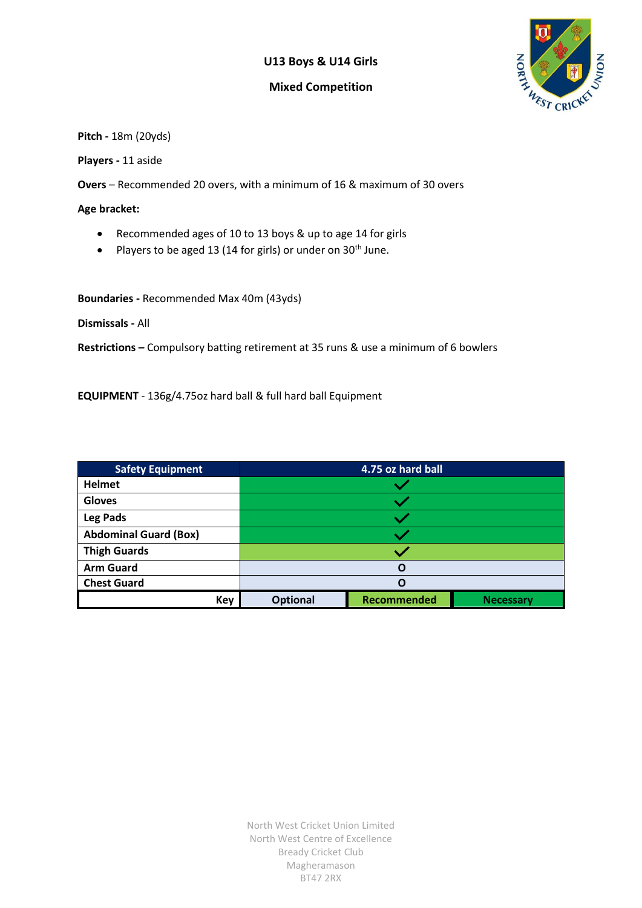### **U13 Boys & U14 Girls**

#### **Mixed Competition**



**Pitch -** 18m (20yds)

**Players -** 11 aside

**Overs** – Recommended 20 overs, with a minimum of 16 & maximum of 30 overs

**Age bracket:**

- Recommended ages of 10 to 13 boys & up to age 14 for girls
- Players to be aged 13 (14 for girls) or under on  $30<sup>th</sup>$  June.

**Boundaries -** Recommended Max 40m (43yds)

**Dismissals -** All

**Restrictions –** Compulsory batting retirement at 35 runs & use a minimum of 6 bowlers

**EQUIPMENT** - 136g/4.75oz hard ball & full hard ball Equipment

| <b>Safety Equipment</b>      | 4.75 oz hard ball |             |                  |  |
|------------------------------|-------------------|-------------|------------------|--|
| <b>Helmet</b>                |                   |             |                  |  |
| <b>Gloves</b>                |                   |             |                  |  |
| Leg Pads                     |                   |             |                  |  |
| <b>Abdominal Guard (Box)</b> |                   |             |                  |  |
| <b>Thigh Guards</b>          |                   |             |                  |  |
| <b>Arm Guard</b>             | Ω                 |             |                  |  |
| <b>Chest Guard</b>           | Ω                 |             |                  |  |
| <b>Key</b>                   | <b>Optional</b>   | Recommended | <b>Necessary</b> |  |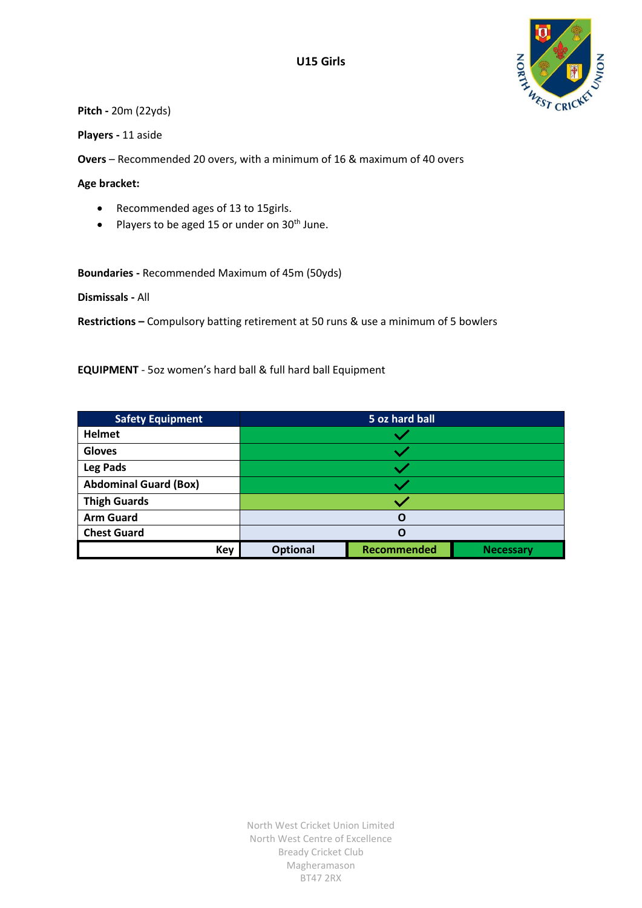



**Pitch -** 20m (22yds)

**Players -** 11 aside

**Overs** – Recommended 20 overs, with a minimum of 16 & maximum of 40 overs

**Age bracket:**

- Recommended ages of 13 to 15girls.
- Players to be aged 15 or under on  $30<sup>th</sup>$  June.

**Boundaries -** Recommended Maximum of 45m (50yds)

**Dismissals -** All

**Restrictions –** Compulsory batting retirement at 50 runs & use a minimum of 5 bowlers

**EQUIPMENT** - 5oz women's hard ball & full hard ball Equipment

| <b>Safety Equipment</b>      | 5 oz hard ball  |             |                  |  |
|------------------------------|-----------------|-------------|------------------|--|
| <b>Helmet</b>                |                 |             |                  |  |
| <b>Gloves</b>                |                 |             |                  |  |
| Leg Pads                     |                 |             |                  |  |
| <b>Abdominal Guard (Box)</b> |                 |             |                  |  |
| <b>Thigh Guards</b>          |                 |             |                  |  |
| <b>Arm Guard</b>             | O               |             |                  |  |
| <b>Chest Guard</b>           | O               |             |                  |  |
| <b>Key</b>                   | <b>Optional</b> | Recommended | <b>Necessary</b> |  |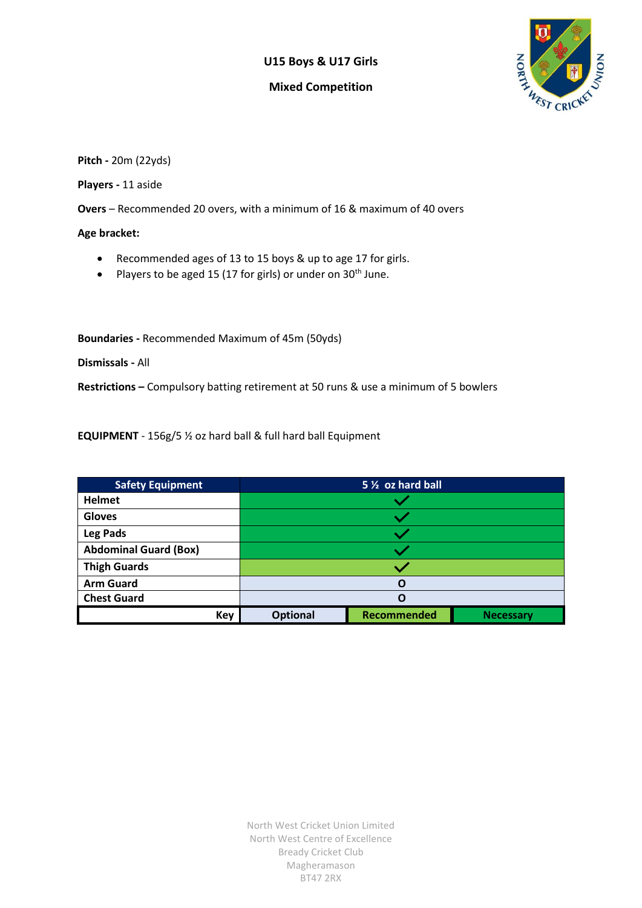#### **U15 Boys & U17 Girls**

#### **Mixed Competition**



**Pitch -** 20m (22yds)

**Players -** 11 aside

**Overs** – Recommended 20 overs, with a minimum of 16 & maximum of 40 overs

**Age bracket:**

- Recommended ages of 13 to 15 boys & up to age 17 for girls.
- Players to be aged 15 (17 for girls) or under on  $30<sup>th</sup>$  June.

**Boundaries -** Recommended Maximum of 45m (50yds)

**Dismissals -** All

**Restrictions –** Compulsory batting retirement at 50 runs & use a minimum of 5 bowlers

**EQUIPMENT** - 156g/5 ½ oz hard ball & full hard ball Equipment

| <b>Safety Equipment</b>      | 5 1/2 oz hard ball |                    |                  |  |
|------------------------------|--------------------|--------------------|------------------|--|
| <b>Helmet</b>                |                    |                    |                  |  |
| <b>Gloves</b>                |                    |                    |                  |  |
| <b>Leg Pads</b>              |                    |                    |                  |  |
| <b>Abdominal Guard (Box)</b> |                    |                    |                  |  |
| <b>Thigh Guards</b>          |                    |                    |                  |  |
| <b>Arm Guard</b>             | O                  |                    |                  |  |
| <b>Chest Guard</b>           | Ω                  |                    |                  |  |
| <b>Key</b>                   | <b>Optional</b>    | <b>Recommended</b> | <b>Necessary</b> |  |